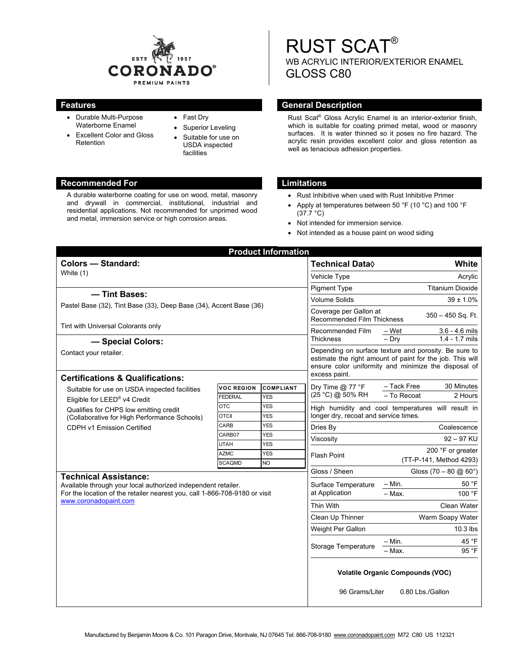

- Durable Multi-Purpose Waterborne Enamel
- Excellent Color and Gloss Retention
- Fast Dry
- Superior Leveling
- Suitable for use on USDA inspected facilities

#### **Recommended For Limitations 2018**

A durable waterborne coating for use on wood, metal, masonry and drywall in commercial, institutional, industrial and residential applications. Not recommended for unprimed wood and metal, immersion service or high corrosion areas.

# RUST SCAT® WB ACRYLIC INTERIOR/EXTERIOR ENAMEL GLOSS C80

### **Features General Description**

Rust Scat® Gloss Acrylic Enamel is an interior-exterior finish, which is suitable for coating primed metal, wood or masonry surfaces. It is water thinned so it poses no fire hazard. The acrylic resin provides excellent color and gloss retention as well as tenacious adhesion properties.

- Rust Inhibitive when used with Rust Inhibitive Primer
- Apply at temperatures between 50 °F (10 °C) and 100 °F  $(37.7 °C)$
- Not intended for immersion service.
- Not intended as a house paint on wood siding

|                                                                                                                                                                                                      |                              | <b>Product Information</b>     |                                                                                                                                                                                             |                                      |
|------------------------------------------------------------------------------------------------------------------------------------------------------------------------------------------------------|------------------------------|--------------------------------|---------------------------------------------------------------------------------------------------------------------------------------------------------------------------------------------|--------------------------------------|
| <b>Colors - Standard:</b><br>White (1)                                                                                                                                                               |                              |                                | <b>Technical Data</b> ♦                                                                                                                                                                     | <b>White</b>                         |
|                                                                                                                                                                                                      |                              |                                | Vehicle Type                                                                                                                                                                                | Acrylic                              |
|                                                                                                                                                                                                      |                              |                                | <b>Pigment Type</b>                                                                                                                                                                         | <b>Titanium Dioxide</b>              |
| - Tint Bases:                                                                                                                                                                                        |                              |                                | <b>Volume Solids</b>                                                                                                                                                                        | $39 \pm 1.0\%$                       |
| Pastel Base (32), Tint Base (33), Deep Base (34), Accent Base (36)                                                                                                                                   |                              |                                | Coverage per Gallon at<br>$350 - 450$ Sq. Ft.<br><b>Recommended Film Thickness</b>                                                                                                          |                                      |
| Tint with Universal Colorants only                                                                                                                                                                   |                              |                                | $3.6 - 4.6$ mils<br>Recommended Film<br>– Wet                                                                                                                                               |                                      |
| - Special Colors:                                                                                                                                                                                    |                              |                                | <b>Thickness</b>                                                                                                                                                                            | $1.4 - 1.7$ mils<br>$-$ Drv          |
| Contact your retailer.                                                                                                                                                                               |                              |                                | Depending on surface texture and porosity. Be sure to<br>estimate the right amount of paint for the job. This will<br>ensure color uniformity and minimize the disposal of<br>excess paint. |                                      |
| <b>Certifications &amp; Qualifications:</b>                                                                                                                                                          |                              |                                |                                                                                                                                                                                             | - Tack Free<br>30 Minutes            |
| Suitable for use on USDA inspected facilities<br>Eligible for LEED® v4 Credit<br>Qualifies for CHPS low emitting credit<br>(Collaborative for High Performance Schools)                              | <b>VOC REGION</b><br>FEDERAL | <b>COMPLIANT</b><br><b>YES</b> | Dry Time $@$ 77 °F<br>(25 °C) @ 50% RH                                                                                                                                                      | - To Recoat<br>2 Hours               |
|                                                                                                                                                                                                      | <b>OTC</b>                   | <b>YES</b>                     | High humidity and cool temperatures will result in                                                                                                                                          |                                      |
|                                                                                                                                                                                                      | <b>OTCII</b>                 | <b>YES</b>                     | longer dry, recoat and service times.                                                                                                                                                       |                                      |
| <b>CDPH v1 Emission Certified</b>                                                                                                                                                                    | CARB                         | <b>YES</b>                     | Dries By                                                                                                                                                                                    | Coalescence                          |
|                                                                                                                                                                                                      | CARB07                       | <b>YES</b>                     | $92 - 97$ KU<br>Viscosity                                                                                                                                                                   |                                      |
|                                                                                                                                                                                                      | UTAH                         | <b>YES</b>                     | <b>Flash Point</b>                                                                                                                                                                          | 200 °F or greater                    |
|                                                                                                                                                                                                      | <b>AZMC</b><br><b>SCAQMD</b> | <b>YES</b><br><b>NO</b>        |                                                                                                                                                                                             | (TT-P-141, Method 4293)              |
|                                                                                                                                                                                                      |                              | Gloss / Sheen                  | Gloss $(70 - 80 \text{ @ } 60^{\circ})$                                                                                                                                                     |                                      |
| <b>Technical Assistance:</b><br>Available through your local authorized independent retailer.<br>For the location of the retailer nearest you, call 1-866-708-9180 or visit<br>www.coronadopaint.com |                              |                                | Surface Temperature<br>at Application                                                                                                                                                       | – Min.<br>50 °F                      |
|                                                                                                                                                                                                      |                              |                                |                                                                                                                                                                                             | 100 °F<br>$-$ Max.                   |
|                                                                                                                                                                                                      |                              |                                | <b>Thin With</b>                                                                                                                                                                            | <b>Clean Water</b>                   |
|                                                                                                                                                                                                      |                              |                                | Clean Up Thinner                                                                                                                                                                            | Warm Soapy Water                     |
|                                                                                                                                                                                                      |                              |                                | Weight Per Gallon                                                                                                                                                                           | 10.3 lbs                             |
|                                                                                                                                                                                                      |                              |                                |                                                                                                                                                                                             |                                      |
|                                                                                                                                                                                                      |                              |                                | Storage Temperature                                                                                                                                                                         | 45 °F<br>– Min.<br>95 °F<br>$-$ Max. |
|                                                                                                                                                                                                      |                              |                                | <b>Volatile Organic Compounds (VOC)</b>                                                                                                                                                     |                                      |
|                                                                                                                                                                                                      |                              |                                | 96 Grams/Liter<br>0.80 Lbs./Gallon                                                                                                                                                          |                                      |